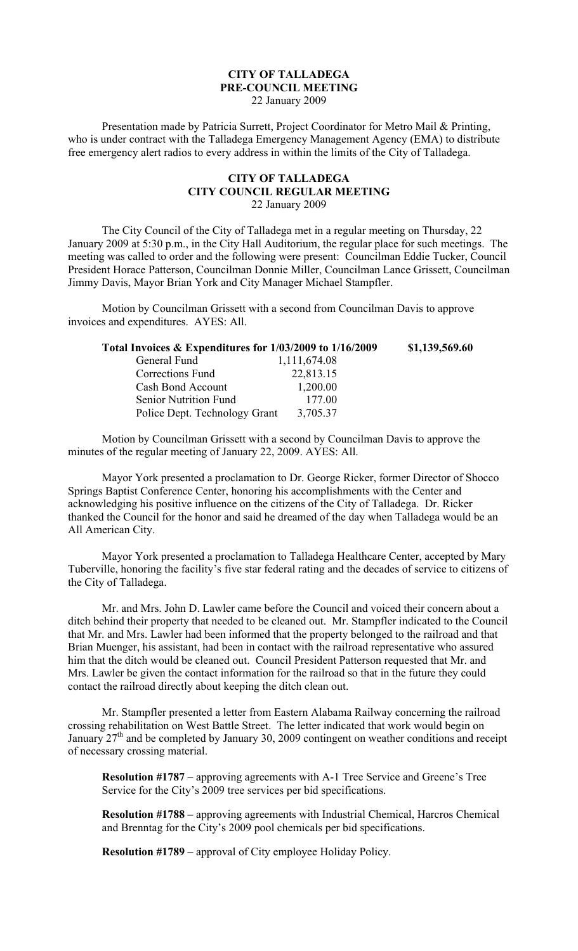## **CITY OF TALLADEGA PRE-COUNCIL MEETING** 22 January 2009

Presentation made by Patricia Surrett, Project Coordinator for Metro Mail & Printing, who is under contract with the Talladega Emergency Management Agency (EMA) to distribute free emergency alert radios to every address in within the limits of the City of Talladega.

## **CITY OF TALLADEGA CITY COUNCIL REGULAR MEETING** 22 January 2009

The City Council of the City of Talladega met in a regular meeting on Thursday, 22 January 2009 at 5:30 p.m., in the City Hall Auditorium, the regular place for such meetings. The meeting was called to order and the following were present: Councilman Eddie Tucker, Council President Horace Patterson, Councilman Donnie Miller, Councilman Lance Grissett, Councilman Jimmy Davis, Mayor Brian York and City Manager Michael Stampfler.

Motion by Councilman Grissett with a second from Councilman Davis to approve invoices and expenditures. AYES: All.

| Total Invoices & Expenditures for 1/03/2009 to 1/16/2009 | \$1,139,569.60 |
|----------------------------------------------------------|----------------|
| 1,111,674.08                                             |                |
| 22,813.15                                                |                |
| 1,200.00                                                 |                |
| 177.00                                                   |                |
| 3,705.37                                                 |                |
|                                                          |                |

Motion by Councilman Grissett with a second by Councilman Davis to approve the minutes of the regular meeting of January 22, 2009. AYES: All.

Mayor York presented a proclamation to Dr. George Ricker, former Director of Shocco Springs Baptist Conference Center, honoring his accomplishments with the Center and acknowledging his positive influence on the citizens of the City of Talladega. Dr. Ricker thanked the Council for the honor and said he dreamed of the day when Talladega would be an All American City.

Mayor York presented a proclamation to Talladega Healthcare Center, accepted by Mary Tuberville, honoring the facility's five star federal rating and the decades of service to citizens of the City of Talladega.

Mr. and Mrs. John D. Lawler came before the Council and voiced their concern about a ditch behind their property that needed to be cleaned out. Mr. Stampfler indicated to the Council that Mr. and Mrs. Lawler had been informed that the property belonged to the railroad and that Brian Muenger, his assistant, had been in contact with the railroad representative who assured him that the ditch would be cleaned out. Council President Patterson requested that Mr. and Mrs. Lawler be given the contact information for the railroad so that in the future they could contact the railroad directly about keeping the ditch clean out.

Mr. Stampfler presented a letter from Eastern Alabama Railway concerning the railroad crossing rehabilitation on West Battle Street. The letter indicated that work would begin on January 27<sup>th</sup> and be completed by January 30, 2009 contingent on weather conditions and receipt of necessary crossing material.

**Resolution #1787** – approving agreements with A-1 Tree Service and Greene's Tree Service for the City's 2009 tree services per bid specifications.

**Resolution #1788 –** approving agreements with Industrial Chemical, Harcros Chemical and Brenntag for the City's 2009 pool chemicals per bid specifications.

**Resolution #1789** – approval of City employee Holiday Policy.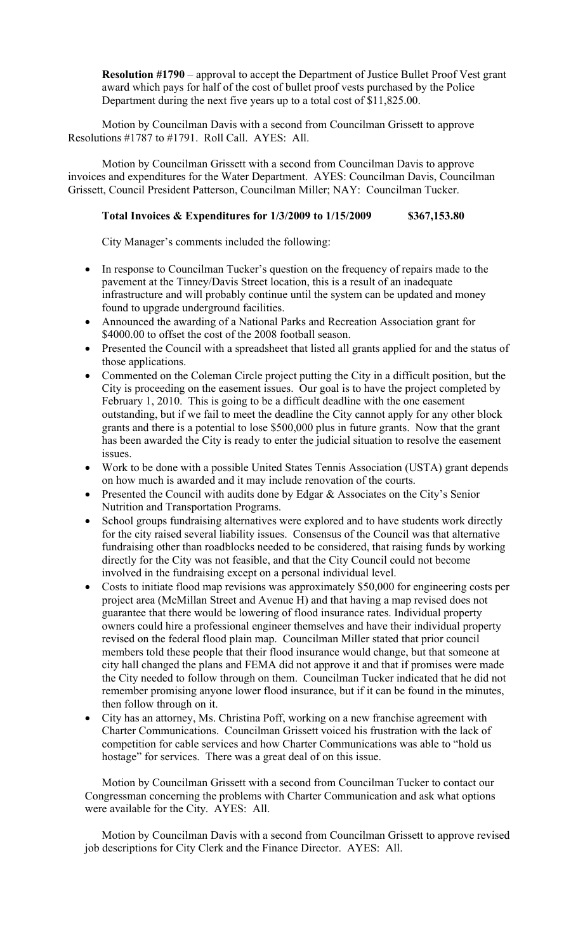**Resolution #1790** – approval to accept the Department of Justice Bullet Proof Vest grant award which pays for half of the cost of bullet proof vests purchased by the Police Department during the next five years up to a total cost of \$11,825.00.

Motion by Councilman Davis with a second from Councilman Grissett to approve Resolutions #1787 to #1791. Roll Call. AYES: All.

Motion by Councilman Grissett with a second from Councilman Davis to approve invoices and expenditures for the Water Department. AYES: Councilman Davis, Councilman Grissett, Council President Patterson, Councilman Miller; NAY: Councilman Tucker.

## **Total Invoices & Expenditures for 1/3/2009 to 1/15/2009 \$367,153.80**

City Manager's comments included the following:

- In response to Councilman Tucker's question on the frequency of repairs made to the pavement at the Tinney/Davis Street location, this is a result of an inadequate infrastructure and will probably continue until the system can be updated and money found to upgrade underground facilities.
- Announced the awarding of a National Parks and Recreation Association grant for \$4000.00 to offset the cost of the 2008 football season.
- Presented the Council with a spreadsheet that listed all grants applied for and the status of those applications.
- Commented on the Coleman Circle project putting the City in a difficult position, but the City is proceeding on the easement issues. Our goal is to have the project completed by February 1, 2010. This is going to be a difficult deadline with the one easement outstanding, but if we fail to meet the deadline the City cannot apply for any other block grants and there is a potential to lose \$500,000 plus in future grants. Now that the grant has been awarded the City is ready to enter the judicial situation to resolve the easement issues.
- Work to be done with a possible United States Tennis Association (USTA) grant depends on how much is awarded and it may include renovation of the courts.
- Presented the Council with audits done by Edgar & Associates on the City's Senior Nutrition and Transportation Programs.
- School groups fundraising alternatives were explored and to have students work directly for the city raised several liability issues. Consensus of the Council was that alternative fundraising other than roadblocks needed to be considered, that raising funds by working directly for the City was not feasible, and that the City Council could not become involved in the fundraising except on a personal individual level.
- Costs to initiate flood map revisions was approximately \$50,000 for engineering costs per project area (McMillan Street and Avenue H) and that having a map revised does not guarantee that there would be lowering of flood insurance rates. Individual property owners could hire a professional engineer themselves and have their individual property revised on the federal flood plain map. Councilman Miller stated that prior council members told these people that their flood insurance would change, but that someone at city hall changed the plans and FEMA did not approve it and that if promises were made the City needed to follow through on them. Councilman Tucker indicated that he did not remember promising anyone lower flood insurance, but if it can be found in the minutes, then follow through on it.
- City has an attorney, Ms. Christina Poff, working on a new franchise agreement with Charter Communications. Councilman Grissett voiced his frustration with the lack of competition for cable services and how Charter Communications was able to "hold us hostage" for services. There was a great deal of on this issue.

Motion by Councilman Grissett with a second from Councilman Tucker to contact our Congressman concerning the problems with Charter Communication and ask what options were available for the City. AYES: All.

Motion by Councilman Davis with a second from Councilman Grissett to approve revised job descriptions for City Clerk and the Finance Director. AYES: All.